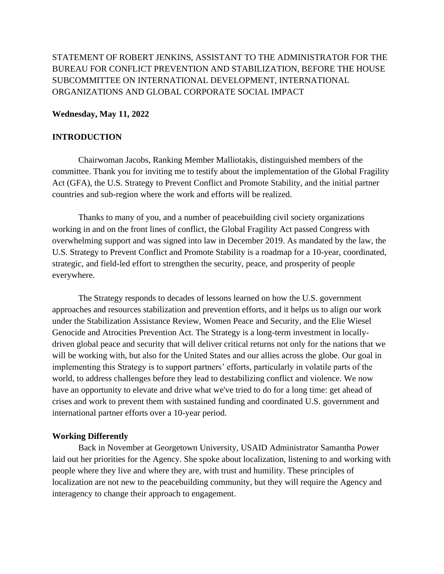# STATEMENT OF ROBERT JENKINS, ASSISTANT TO THE ADMINISTRATOR FOR THE BUREAU FOR CONFLICT PREVENTION AND STABILIZATION, BEFORE THE HOUSE SUBCOMMITTEE ON INTERNATIONAL DEVELOPMENT, INTERNATIONAL ORGANIZATIONS AND GLOBAL CORPORATE SOCIAL IMPACT

## **Wednesday, May 11, 2022**

### **INTRODUCTION**

Chairwoman Jacobs, Ranking Member Malliotakis, distinguished members of the committee. Thank you for inviting me to testify about the implementation of the Global Fragility Act (GFA), the U.S. Strategy to Prevent Conflict and Promote Stability, and the initial partner countries and sub-region where the work and efforts will be realized.

Thanks to many of you, and a number of peacebuilding civil society organizations working in and on the front lines of conflict, the Global Fragility Act passed Congress with overwhelming support and was signed into law in December 2019. As mandated by the law, the U.S. Strategy to Prevent Conflict and Promote Stability is a roadmap for a 10-year, coordinated, strategic, and field-led effort to strengthen the security, peace, and prosperity of people everywhere.

The Strategy responds to decades of lessons learned on how the U.S. government approaches and resources stabilization and prevention efforts, and it helps us to align our work under the Stabilization Assistance Review, Women Peace and Security, and the Elie Wiesel Genocide and Atrocities Prevention Act. The Strategy is a long-term investment in locallydriven global peace and security that will deliver critical returns not only for the nations that we will be working with, but also for the United States and our allies across the globe. Our goal in implementing this Strategy is to support partners' efforts, particularly in volatile parts of the world, to address challenges before they lead to destabilizing conflict and violence. We now have an opportunity to elevate and drive what we've tried to do for a long time: get ahead of crises and work to prevent them with sustained funding and coordinated U.S. government and international partner efforts over a 10-year period.

### **Working Differently**

Back in November at Georgetown University, USAID Administrator Samantha Power laid out her priorities for the Agency. She spoke about localization, listening to and working with people where they live and where they are, with trust and humility. These principles of localization are not new to the peacebuilding community, but they will require the Agency and interagency to change their approach to engagement.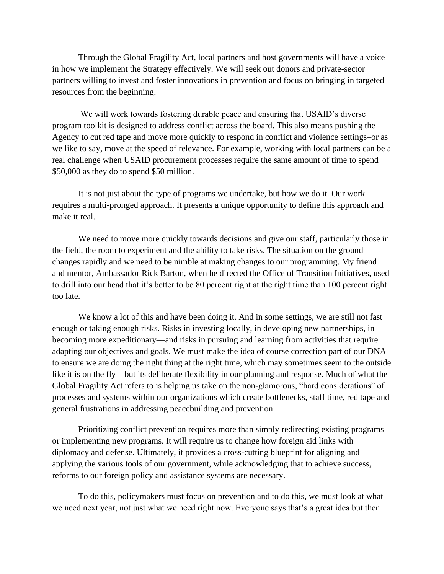Through the Global Fragility Act, local partners and host governments will have a voice in how we implement the Strategy effectively. We will seek out donors and private-sector partners willing to invest and foster innovations in prevention and focus on bringing in targeted resources from the beginning.

We will work towards fostering durable peace and ensuring that USAID's diverse program toolkit is designed to address conflict across the board. This also means pushing the Agency to cut red tape and move more quickly to respond in conflict and violence settings–or as we like to say, move at the speed of relevance. For example, working with local partners can be a real challenge when USAID procurement processes require the same amount of time to spend \$50,000 as they do to spend \$50 million.

It is not just about the type of programs we undertake, but how we do it. Our work requires a multi-pronged approach. It presents a unique opportunity to define this approach and make it real.

We need to move more quickly towards decisions and give our staff, particularly those in the field, the room to experiment and the ability to take risks. The situation on the ground changes rapidly and we need to be nimble at making changes to our programming. My friend and mentor, Ambassador Rick Barton, when he directed the Office of Transition Initiatives, used to drill into our head that it's better to be 80 percent right at the right time than 100 percent right too late.

We know a lot of this and have been doing it. And in some settings, we are still not fast enough or taking enough risks. Risks in investing locally, in developing new partnerships, in becoming more expeditionary—and risks in pursuing and learning from activities that require adapting our objectives and goals. We must make the idea of course correction part of our DNA to ensure we are doing the right thing at the right time, which may sometimes seem to the outside like it is on the fly—but its deliberate flexibility in our planning and response. Much of what the Global Fragility Act refers to is helping us take on the non-glamorous, "hard considerations" of processes and systems within our organizations which create bottlenecks, staff time, red tape and general frustrations in addressing peacebuilding and prevention.

Prioritizing conflict prevention requires more than simply redirecting existing programs or implementing new programs. It will require us to change how foreign aid links with diplomacy and defense. Ultimately, it provides a cross-cutting blueprint for aligning and applying the various tools of our government, while acknowledging that to achieve success, reforms to our foreign policy and assistance systems are necessary.

To do this, policymakers must focus on prevention and to do this, we must look at what we need next year, not just what we need right now. Everyone says that's a great idea but then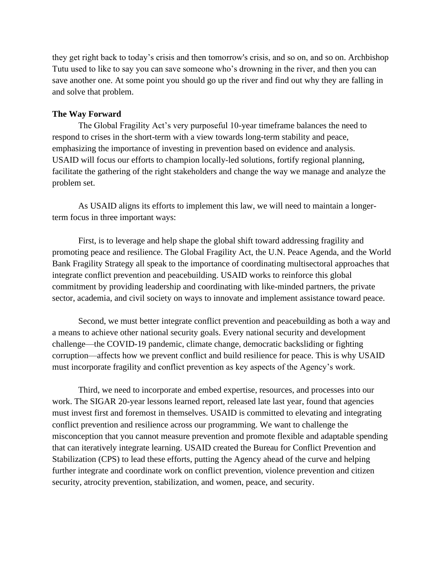they get right back to today's crisis and then tomorrow's crisis, and so on, and so on. Archbishop Tutu used to like to say you can save someone who's drowning in the river, and then you can save another one. At some point you should go up the river and find out why they are falling in and solve that problem.

## **The Way Forward**

The Global Fragility Act's very purposeful 10-year timeframe balances the need to respond to crises in the short-term with a view towards long-term stability and peace, emphasizing the importance of investing in prevention based on evidence and analysis. USAID will focus our efforts to champion locally-led solutions, fortify regional planning, facilitate the gathering of the right stakeholders and change the way we manage and analyze the problem set.

As USAID aligns its efforts to implement this law, we will need to maintain a longerterm focus in three important ways:

First, is to leverage and help shape the global shift toward addressing fragility and promoting peace and resilience. The Global Fragility Act, the U.N. Peace Agenda, and the World Bank Fragility Strategy all speak to the importance of coordinating multisectoral approaches that integrate conflict prevention and peacebuilding. USAID works to reinforce this global commitment by providing leadership and coordinating with like-minded partners, the private sector, academia, and civil society on ways to innovate and implement assistance toward peace.

Second, we must better integrate conflict prevention and peacebuilding as both a way and a means to achieve other national security goals. Every national security and development challenge—the COVID-19 pandemic, climate change, democratic backsliding or fighting corruption—affects how we prevent conflict and build resilience for peace. This is why USAID must incorporate fragility and conflict prevention as key aspects of the Agency's work.

Third, we need to incorporate and embed expertise, resources, and processes into our work. The SIGAR 20-year lessons learned report, released late last year, found that agencies must invest first and foremost in themselves. USAID is committed to elevating and integrating conflict prevention and resilience across our programming. We want to challenge the misconception that you cannot measure prevention and promote flexible and adaptable spending that can iteratively integrate learning. USAID created the Bureau for Conflict Prevention and Stabilization (CPS) to lead these efforts, putting the Agency ahead of the curve and helping further integrate and coordinate work on conflict prevention, violence prevention and citizen security, atrocity prevention, stabilization, and women, peace, and security.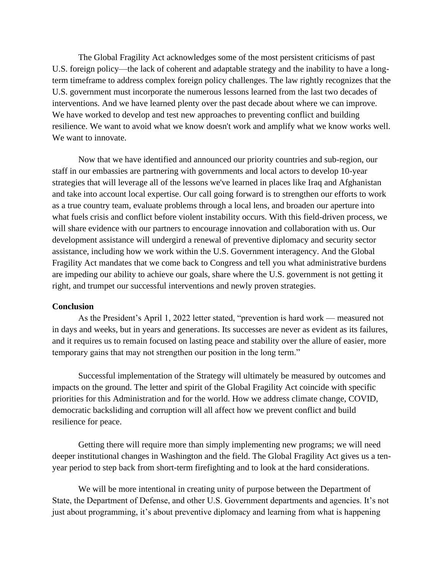The Global Fragility Act acknowledges some of the most persistent criticisms of past U.S. foreign policy—the lack of coherent and adaptable strategy and the inability to have a longterm timeframe to address complex foreign policy challenges. The law rightly recognizes that the U.S. government must incorporate the numerous lessons learned from the last two decades of interventions. And we have learned plenty over the past decade about where we can improve. We have worked to develop and test new approaches to preventing conflict and building resilience. We want to avoid what we know doesn't work and amplify what we know works well. We want to innovate.

Now that we have identified and announced our priority countries and sub-region, our staff in our embassies are partnering with governments and local actors to develop 10-year strategies that will leverage all of the lessons we've learned in places like Iraq and Afghanistan and take into account local expertise. Our call going forward is to strengthen our efforts to work as a true country team, evaluate problems through a local lens, and broaden our aperture into what fuels crisis and conflict before violent instability occurs. With this field-driven process, we will share evidence with our partners to encourage innovation and collaboration with us. Our development assistance will undergird a renewal of preventive diplomacy and security sector assistance, including how we work within the U.S. Government interagency. And the Global Fragility Act mandates that we come back to Congress and tell you what administrative burdens are impeding our ability to achieve our goals, share where the U.S. government is not getting it right, and trumpet our successful interventions and newly proven strategies.

#### **Conclusion**

As the President's April 1, 2022 letter stated, "prevention is hard work — measured not in days and weeks, but in years and generations. Its successes are never as evident as its failures, and it requires us to remain focused on lasting peace and stability over the allure of easier, more temporary gains that may not strengthen our position in the long term."

Successful implementation of the Strategy will ultimately be measured by outcomes and impacts on the ground. The letter and spirit of the Global Fragility Act coincide with specific priorities for this Administration and for the world. How we address climate change, COVID, democratic backsliding and corruption will all affect how we prevent conflict and build resilience for peace.

Getting there will require more than simply implementing new programs; we will need deeper institutional changes in Washington and the field. The Global Fragility Act gives us a tenyear period to step back from short-term firefighting and to look at the hard considerations.

We will be more intentional in creating unity of purpose between the Department of State, the Department of Defense, and other U.S. Government departments and agencies. It's not just about programming, it's about preventive diplomacy and learning from what is happening